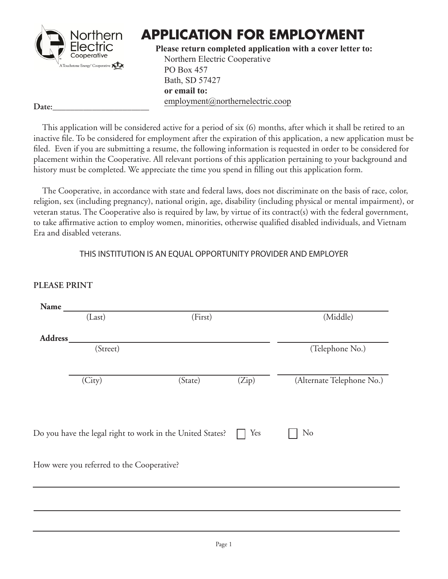

# **APPLICATION FOR EMPLOYMENT**

**Please return completed application with a cover letter to:** Northern Electric Cooperative PO Box 457 Bath, SD 57427 **or email to:** employment@northernelectric.coop

Date:

**PLEASE PRINT**

This application will be considered active for a period of six (6) months, after which it shall be retired to an inactive file. To be considered for employment after the expiration of this application, a new application must be filed. Even if you are submitting a resume, the following information is requested in order to be considered for placement within the Cooperative. All relevant portions of this application pertaining to your background and history must be completed. We appreciate the time you spend in filling out this application form.

The Cooperative, in accordance with state and federal laws, does not discriminate on the basis of race, color, religion, sex (including pregnancy), national origin, age, disability (including physical or mental impairment), or veteran status. The Cooperative also is required by law, by virtue of its contract(s) with the federal government, to take affirmative action to employ women, minorities, otherwise qualified disabled individuals, and Vietnam Era and disabled veterans.

#### THIS INSTITUTION IS AN EQUAL OPPORTUNITY PROVIDER AND EMPLOYER

|          | (Last)                                    | (First)                                                   |       | (Middle)                  |
|----------|-------------------------------------------|-----------------------------------------------------------|-------|---------------------------|
| Address_ |                                           |                                                           |       |                           |
|          | (Street)                                  |                                                           |       | (Telephone No.)           |
|          | (City)                                    | (State)                                                   | (Zip) | (Alternate Telephone No.) |
|          |                                           | Do you have the legal right to work in the United States? | Yes   | N <sub>o</sub>            |
|          | How were you referred to the Cooperative? |                                                           |       |                           |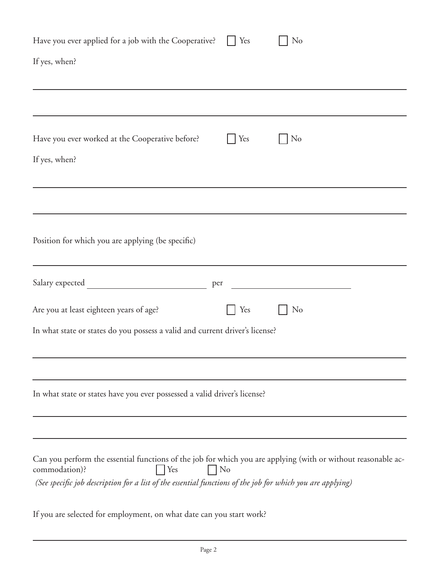| Have you ever applied for a job with the Cooperative?<br>Yes                                                                                                                                                                                                          | N <sub>o</sub> |
|-----------------------------------------------------------------------------------------------------------------------------------------------------------------------------------------------------------------------------------------------------------------------|----------------|
| If yes, when?                                                                                                                                                                                                                                                         |                |
|                                                                                                                                                                                                                                                                       |                |
| Have you ever worked at the Cooperative before?<br>Yes                                                                                                                                                                                                                | N <sub>o</sub> |
| If yes, when?                                                                                                                                                                                                                                                         |                |
|                                                                                                                                                                                                                                                                       |                |
| Position for which you are applying (be specific)                                                                                                                                                                                                                     |                |
| per                                                                                                                                                                                                                                                                   |                |
| Are you at least eighteen years of age?<br>Yes                                                                                                                                                                                                                        | N <sub>o</sub> |
| In what state or states do you possess a valid and current driver's license?                                                                                                                                                                                          |                |
|                                                                                                                                                                                                                                                                       |                |
| In what state or states have you ever possessed a valid driver's license?                                                                                                                                                                                             |                |
|                                                                                                                                                                                                                                                                       |                |
| Can you perform the essential functions of the job for which you are applying (with or without reasonable ac-<br>commodation)?<br>Yes<br>N <sub>o</sub><br>(See specific job description for a list of the essential functions of the job for which you are applying) |                |
| If you are selected for employment, on what date can you start work?                                                                                                                                                                                                  |                |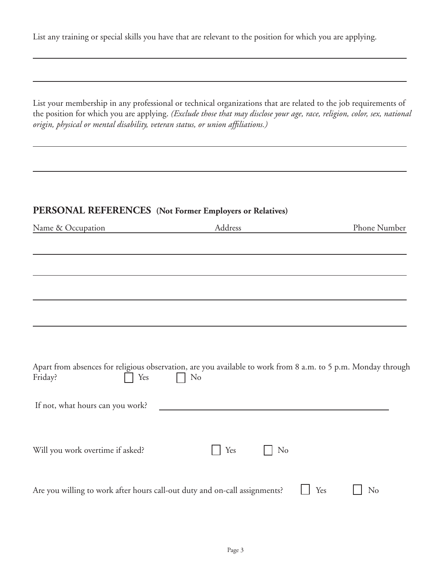List any training or special skills you have that are relevant to the position for which you are applying.

List your membership in any professional or technical organizations that are related to the job requirements of the position for which you are applying. *(Exclude those that may disclose your age, race, religion, color, sex, national origin, physical or mental disability, veteran status, or union affiliations.)* 

#### **PERSONAL REFERENCES (Not Former Employers or Relatives)**

| Name & Occupation                                                          | Address                                                                                                                         | Phone Number          |
|----------------------------------------------------------------------------|---------------------------------------------------------------------------------------------------------------------------------|-----------------------|
|                                                                            |                                                                                                                                 |                       |
|                                                                            |                                                                                                                                 |                       |
|                                                                            |                                                                                                                                 |                       |
|                                                                            |                                                                                                                                 |                       |
|                                                                            |                                                                                                                                 |                       |
|                                                                            |                                                                                                                                 |                       |
|                                                                            |                                                                                                                                 |                       |
| Friday?<br>Yes                                                             | Apart from absences for religious observation, are you available to work from 8 a.m. to 5 p.m. Monday through<br>N <sub>o</sub> |                       |
| If not, what hours can you work?                                           |                                                                                                                                 |                       |
| Will you work overtime if asked?                                           | Yes<br>N <sub>o</sub>                                                                                                           |                       |
| Are you willing to work after hours call-out duty and on-call assignments? |                                                                                                                                 | Yes<br>N <sub>o</sub> |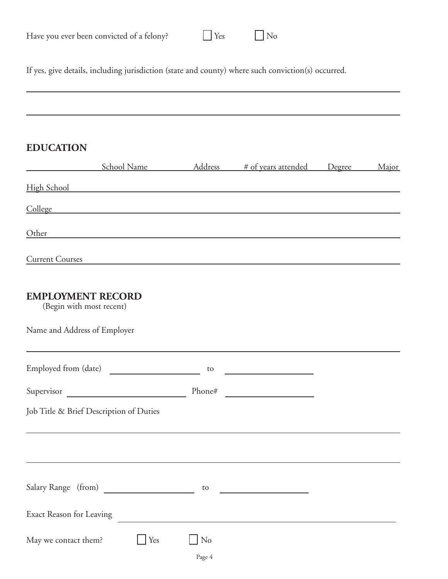| Have you ever been convicted of a felony? | $\Box$ Yes | $\Box$ No |
|-------------------------------------------|------------|-----------|
|-------------------------------------------|------------|-----------|

If yes, give details, including jurisdiction (state and county) where such conviction(s) occurred.

## **EDUCATION**

|                                                                                                                                                                                                                                |                        | School Name Mddress # of years attended Degree | Major |
|--------------------------------------------------------------------------------------------------------------------------------------------------------------------------------------------------------------------------------|------------------------|------------------------------------------------|-------|
| High School and the state of the state of the state of the state of the state of the state of the state of the                                                                                                                 |                        |                                                |       |
| College and the collection of the collection of the collection of the collection of the collection of the collection of the collection of the collection of the collection of the collection of the collection of the collecti |                        |                                                |       |
| Other                                                                                                                                                                                                                          |                        |                                                |       |
| <b>Current Courses</b><br><u> 1989 - John Harry Harry Harry Harry Harry Harry Harry Harry Harry Harry Harry Harry Harry Harry Harry Harry H</u>                                                                                |                        |                                                |       |
| <b>EMPLOYMENT RECORD</b><br>(Begin with most recent)                                                                                                                                                                           |                        |                                                |       |
| Name and Address of Employer                                                                                                                                                                                                   |                        |                                                |       |
| Employed from (date)                                                                                                                                                                                                           | to                     | the control of the control of the control of   |       |
|                                                                                                                                                                                                                                | Phone#                 |                                                |       |
| Job Title & Brief Description of Duties                                                                                                                                                                                        |                        |                                                |       |
|                                                                                                                                                                                                                                |                        |                                                |       |
| Salary Range (from)                                                                                                                                                                                                            | to                     |                                                |       |
| Exact Reason for Leaving                                                                                                                                                                                                       |                        |                                                |       |
| May we contact them?<br>Yes                                                                                                                                                                                                    | $\bigcup$ No<br>Page 4 |                                                |       |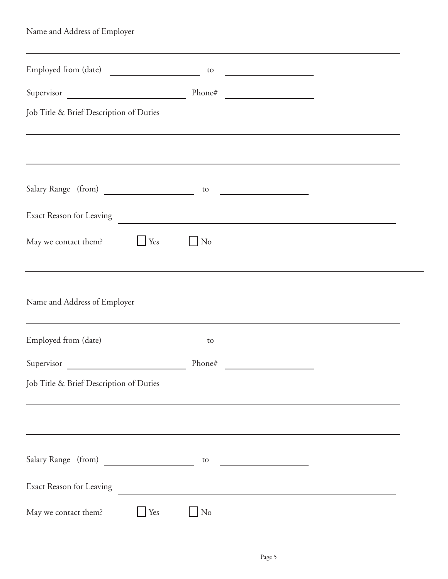| Name and Address of Employer                                                                                                                                                                                                                          |          |                                                                                                                      |  |
|-------------------------------------------------------------------------------------------------------------------------------------------------------------------------------------------------------------------------------------------------------|----------|----------------------------------------------------------------------------------------------------------------------|--|
| the control of the control of the control of the control of the control of the control of the control of the control of the control of the control of the control of the control of the control of the control of the control<br>Employed from (date) | to       | <u> 1989 - Johann Barbara, martxa a</u>                                                                              |  |
| Supervisor                                                                                                                                                                                                                                            | Phone#   |                                                                                                                      |  |
| Job Title & Brief Description of Duties<br>,我们也不会有什么。""我们的人,我们也不会有什么?""我们的人,我们也不会有什么?""我们的人,我们也不会有什么?""我们的人,我们也不会有什么?""我们的人                                                                                                                           |          |                                                                                                                      |  |
|                                                                                                                                                                                                                                                       |          |                                                                                                                      |  |
| Salary Range (from)                                                                                                                                                                                                                                   | to       |                                                                                                                      |  |
| Exact Reason for Leaving                                                                                                                                                                                                                              |          |                                                                                                                      |  |
| May we contact them?<br>Yes                                                                                                                                                                                                                           | No       |                                                                                                                      |  |
| Name and Address of Employer                                                                                                                                                                                                                          |          |                                                                                                                      |  |
| Employed from (date)                                                                                                                                                                                                                                  | to       | <u> 1989 - Johann Barbara, martxa a</u>                                                                              |  |
| Supervisor                                                                                                                                                                                                                                            | Phone#   | <u> 1980 - Jan Stein Stein Stein Stein Stein Stein Stein Stein Stein Stein Stein Stein Stein Stein Stein Stein S</u> |  |
| Job Title & Brief Description of Duties                                                                                                                                                                                                               |          |                                                                                                                      |  |
|                                                                                                                                                                                                                                                       |          |                                                                                                                      |  |
| Salary Range (from)                                                                                                                                                                                                                                   | to       | <u> 1990 - Johann Barbara, martin a</u>                                                                              |  |
| Exact Reason for Leaving                                                                                                                                                                                                                              |          |                                                                                                                      |  |
| May we contact them?<br>Yes                                                                                                                                                                                                                           | $\rm No$ |                                                                                                                      |  |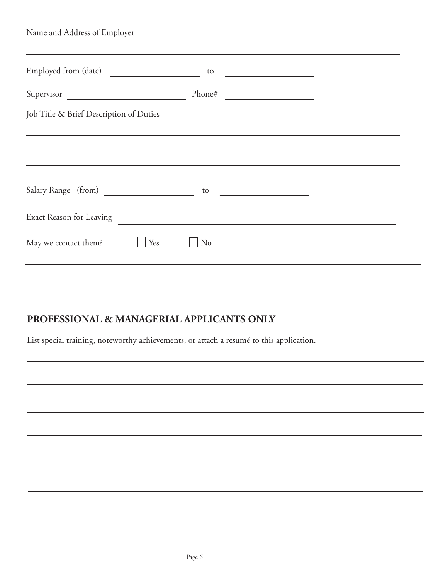| Name and Address of Employer            |                       |                                                     |
|-----------------------------------------|-----------------------|-----------------------------------------------------|
| Employed from (date)                    | to                    | <u> 1989 - Andrea Station, amerikansk politik (</u> |
| Supervisor                              | Phone#                |                                                     |
| Job Title & Brief Description of Duties |                       |                                                     |
|                                         |                       |                                                     |
| Salary Range (from)                     | to                    |                                                     |
| Exact Reason for Leaving                |                       |                                                     |
| May we contact them?                    | N <sub>o</sub><br>Yes |                                                     |

## **PROFESSIONAL & MANAGERIAL APPLICANTS ONLY**

List special training, noteworthy achievements, or attach a resumé to this application.